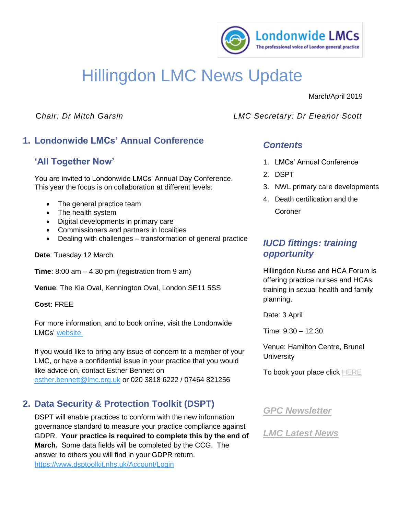

# Hillingdon LMC News Update

#### March/April 2019

# **1. Londonwide LMCs' Annual Conference**

# **'All Together Now'**

You are invited to Londonwide LMCs' Annual Day Conference. This year the focus is on collaboration at different levels:

- The general practice team
- The health system
- Digital developments in primary care
- Commissioners and partners in localities
- Dealing with challenges transformation of general practice

#### **Date**: Tuesday 12 March

**Time**: 8:00 am – 4.30 pm (registration from 9 am)

**Venue**: The Kia Oval, Kennington Oval, London SE11 5SS

#### **Cost**: FREE

For more information, and to book online, visit the Londonwide LMCs' [website.](https://www.eventbrite.co.uk/e/londonwide-lmcs-annual-conference-2019-all-together-now-tickets-51801634082?aff=ebdssbdestsearch)

If you would like to bring any issue of concern to a member of your LMC, or have a confidential issue in your practice that you would like advice on, contact Esther Bennett on [esther.bennett@lmc.org.uk](mailto:esther.bennett@lmc.org.uk) or 020 3818 6222 / 07464 821256

## **2. Data Security & Protection Toolkit (DSPT)**

DSPT will enable practices to conform with the new information governance standard to measure your practice compliance against GDPR. **Your practice is required to complete this by the end of March.** Some data fields will be completed by the CCG. The answer to others you will find in your GDPR return.

C*hair: Dr Mitch Garsin LMC Secretary: Dr Eleanor Scott*

#### *Contents*

- 1. LMCs' Annual Conference
- 2. DSPT
- 3. NWL primary care developments
- 4. Death certification and the **Coroner**

## *IUCD fittings: training opportunity*

Hillingdon Nurse and HCA Forum is offering practice nurses and HCAs training in sexual health and family planning.

Date: 3 April

Time: 9.30 – 12.30

Venue: Hamilton Centre, Brunel **University** 

To book your place click [HERE](https://hillingdon-nurse-forum-april-2019.eventbrite.co.uk/)

#### *[GPC Newsletter](https://www.lmc.org.uk/page.php?id=204)*

*[LMC Latest News](http://www.lmc.org.uk/latest-news.html)*

<https://www.dsptoolkit.nhs.uk/Account/Login>